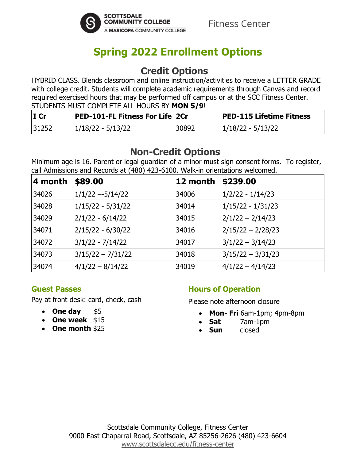

# **Spring 2022 Enrollment Options**

### **Credit Options**

HYBRID CLASS. Blends classroom and online instruction/activities to receive a LETTER GRADE with college credit. Students will complete academic requirements through Canvas and record required exercised hours that may be performed off campus or at the SCC Fitness Center. STUDENTS MUST COMPLETE ALL HOURS BY **MON 5/9**!

| $I$ Cr | <b>PED-101-FL Fitness For Life 2Cr</b> |       | <b>PED-115 Lifetime Fitness</b> |
|--------|----------------------------------------|-------|---------------------------------|
| 31252  | 1/18/22 - 5/13/22                      | 30892 | 1/18/22 - 5/13/22               |

## **Non-Credit Options**

Minimum age is 16. Parent or legal guardian of a minor must sign consent forms. To register, call Admissions and Records at (480) 423-6100. Walk-in orientations welcomed.

| 4 month | \$89.00             | 12 month | \$239.00            |
|---------|---------------------|----------|---------------------|
| 34026   | $1/1/22 - 5/14/22$  | 34006    | $1/2/22 - 1/14/23$  |
| 34028   | $1/15/22 - 5/31/22$ | 34014    | $1/15/22 - 1/31/23$ |
| 34029   | $2/1/22 - 6/14/22$  | 34015    | $2/1/22 - 2/14/23$  |
| 34071   | $2/15/22 - 6/30/22$ | 34016    | 2/15/22 - 2/28/23   |
| 34072   | $3/1/22 - 7/14/22$  | 34017    | $3/1/22 - 3/14/23$  |
| 34073   | $3/15/22 - 7/31/22$ | 34018    | $3/15/22 - 3/31/23$ |
| 34074   | $4/1/22 - 8/14/22$  | 34019    | $4/1/22 - 4/14/23$  |

#### **Guest Passes**

Pay at front desk: card, check, cash

- One day \$5
- **One week** \$15
- **One month** \$25

### **Hours of Operation**

Please note afternoon closure

- **Mon- Fri** 6am-1pm; 4pm-8pm
- **Sat** 7am-1pm
- **Sun** closed